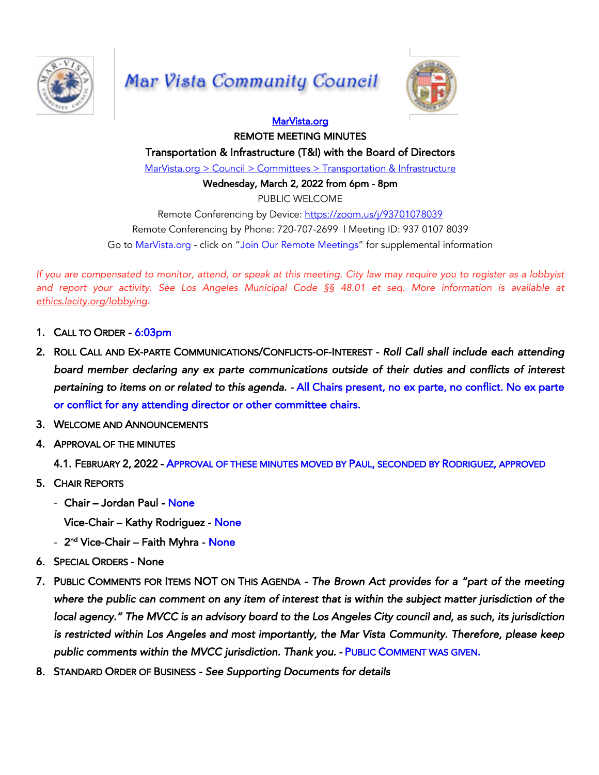

## Mar Vista Community Council



## MarVista.org REMOTE MEETING MINUTES

Transportation & Infrastructure (T&I) with the Board of Directors

MarVista.org > Council > Committees > Transportation & Infrastructure

Wednesday, March 2, 2022 from 6pm - 8pm

PUBLIC WELCOME

Remote Conferencing by Device: https://zoom.us/j/93701078039 Remote Conferencing by Phone: 720-707-2699 | Meeting ID: 937 0107 8039 Go to MarVista.org - click on "Join Our Remote Meetings" for supplemental information

If you are compensated to monitor, attend, or speak at this meeting. City law may require you to register as a lobbyist and report your activity. See Los Angeles Municipal Code §§ 48.01 et seq. More information is available at *ethics.lacity.org/lobbying.*

- 1. CALL TO ORDER 6:03pm
- 2. ROLL CALL AND EX-PARTE COMMUNICATIONS/CONFLICTS-OF-INTEREST  *Roll Call shall include each attending board member declaring any ex parte communications outside of their duties and conflicts of interest pertaining to items on or related to this agenda. -* All Chairs present, no ex parte, no conflict. No ex parte or conflict for any attending director or other committee chairs.
- 3. WELCOME AND ANNOUNCEMENTS
- 4. APPROVAL OF THE MINUTES

4.1. FEBRUARY 2, 2022 - APPROVAL OF THESE MINUTES MOVED BY PAUL, SECONDED BY RODRIGUEZ, APPROVED

- 5. CHAIR REPORTS
	- Chair Jordan Paul None
		- Vice-Chair Kathy Rodriguez None
	- 2<sup>nd</sup> Vice-Chair Faith Myhra None
- 6. SPECIAL ORDERS None
- 7. PUBLIC COMMENTS FOR ITEMS NOT ON THIS AGENDA *The Brown Act provides for a "part of the meeting where the public can comment on any item of interest that is within the subject matter jurisdiction of the local agency." The MVCC is an advisory board to the Los Angeles City council and, as such, its jurisdiction is restricted within Los Angeles and most importantly, the Mar Vista Community. Therefore, please keep*  public comments within the MVCC jurisdiction. Thank you. - PUBLIC COMMENT WAS GIVEN.
- 8. STANDARD ORDER OF BUSINESS  *See Supporting Documents for details*